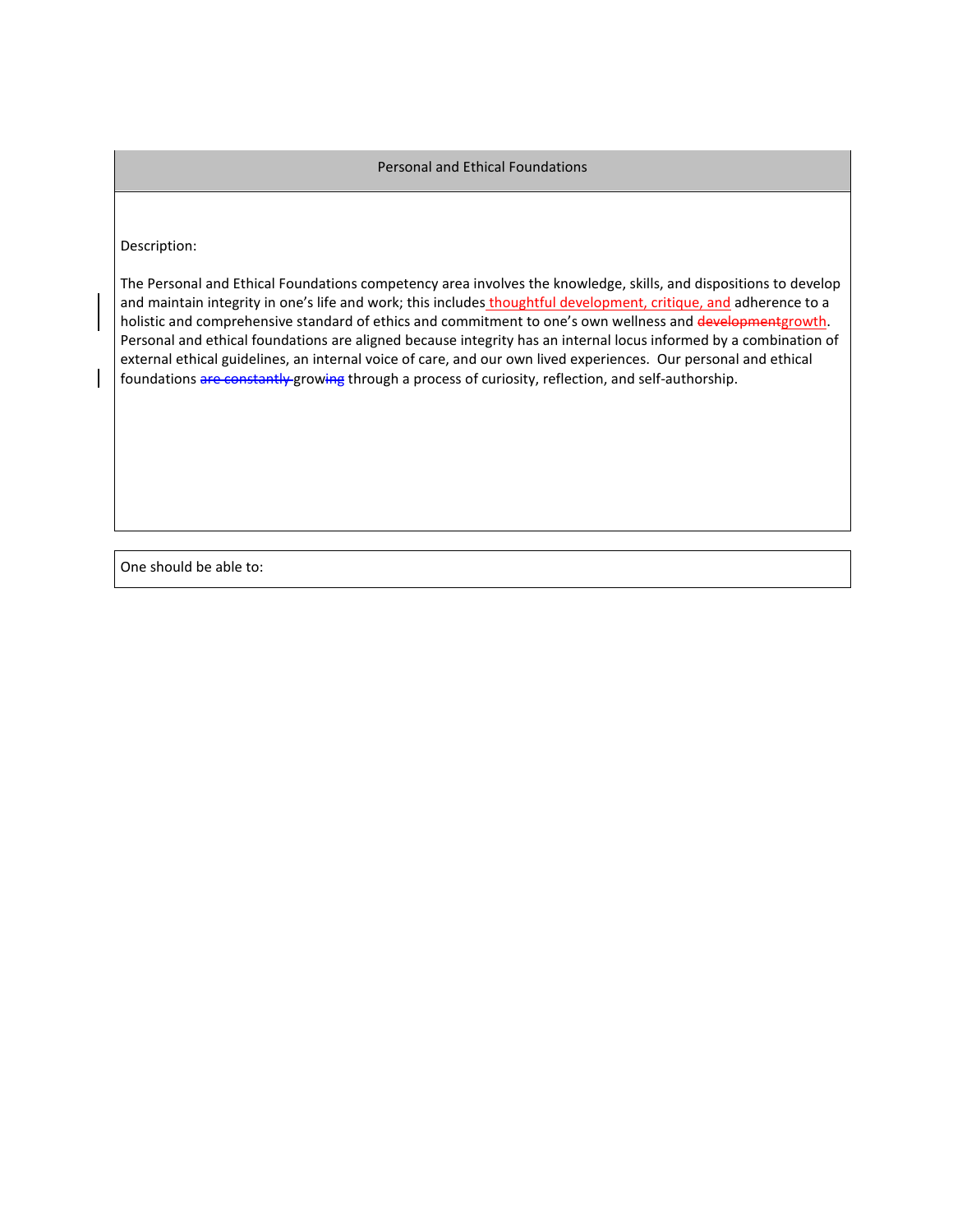## Personal and Ethical Foundations

## Description:

The Personal and Ethical Foundations competency area involves the knowledge, skills, and dispositions to develop and maintain integrity in one's life and work; this includes thoughtful development, critique, and adherence to a holistic and comprehensive standard of ethics and commitment to one's own wellness and developmentgrowth. Personal and ethical foundations are aligned because integrity has an internal locus informed by a combination of external ethical guidelines, an internal voice of care, and our own lived experiences. Our personal and ethical foundations are constantly growing through a process of curiosity, reflection, and self-authorship.

One should be able to: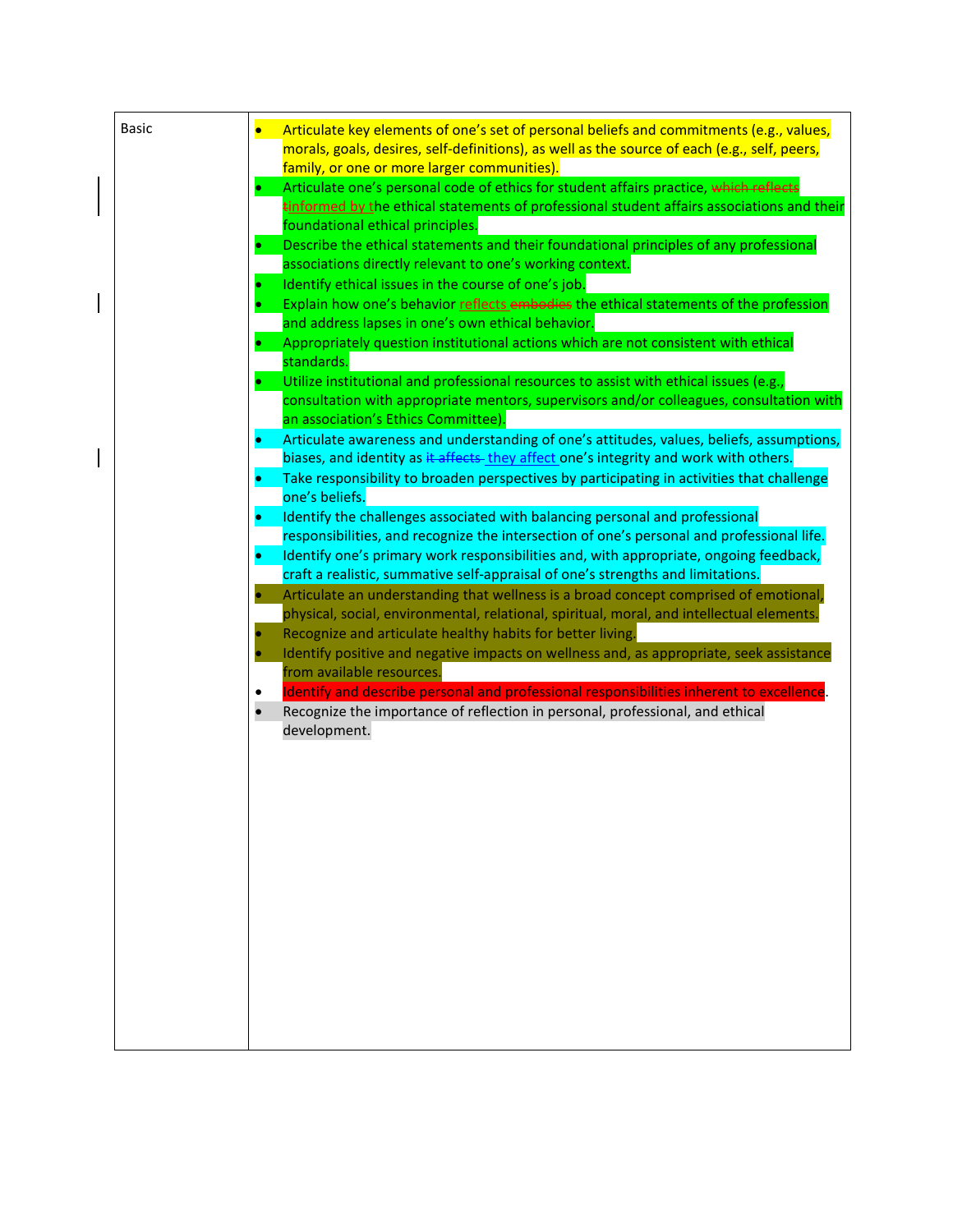| <b>Basic</b> | Articulate key elements of one's set of personal beliefs and commitments (e.g., values,<br>$\bullet$<br>morals, goals, desires, self-definitions), as well as the source of each (e.g., self, peers,<br>family, or one or more larger communities).                    |
|--------------|------------------------------------------------------------------------------------------------------------------------------------------------------------------------------------------------------------------------------------------------------------------------|
|              | Articulate one's personal code of ethics for student affairs practice, which reflects<br>tinformed by the ethical statements of professional student affairs associations and their<br>foundational ethical principles.                                                |
|              | Describe the ethical statements and their foundational principles of any professional<br>associations directly relevant to one's working context.                                                                                                                      |
|              | Identify ethical issues in the course of one's job.<br>Explain how one's behavior reflects embodies the ethical statements of the profession<br>and address lapses in one's own ethical behavior.                                                                      |
|              | Appropriately question institutional actions which are not consistent with ethical<br>standards.<br>Utilize institutional and professional resources to assist with ethical issues (e.g.,                                                                              |
|              | consultation with appropriate mentors, supervisors and/or colleagues, consultation with<br>an association's Ethics Committee).<br>Articulate awareness and understanding of one's attitudes, values, beliefs, assumptions,<br>۰                                        |
|              | biases, and identity as it affects they affect one's integrity and work with others.<br>Take responsibility to broaden perspectives by participating in activities that challenge<br>one's beliefs.                                                                    |
|              | Identify the challenges associated with balancing personal and professional<br>۰<br>responsibilities, and recognize the intersection of one's personal and professional life.<br>Identify one's primary work responsibilities and, with appropriate, ongoing feedback, |
|              | craft a realistic, summative self-appraisal of one's strengths and limitations.<br>Articulate an understanding that wellness is a broad concept comprised of emotional,<br>physical, social, environmental, relational, spiritual, moral, and intellectual elements.   |
|              | Recognize and articulate healthy habits for better living.<br>Identify positive and negative impacts on wellness and, as appropriate, seek assistance<br>from available resources.                                                                                     |
|              | Identify and describe personal and professional responsibilities inherent to excellence.<br>Recognize the importance of reflection in personal, professional, and ethical<br>$\bullet$<br>development.                                                                 |
|              |                                                                                                                                                                                                                                                                        |
|              |                                                                                                                                                                                                                                                                        |
|              |                                                                                                                                                                                                                                                                        |
|              |                                                                                                                                                                                                                                                                        |
|              |                                                                                                                                                                                                                                                                        |

 $\overline{\phantom{a}}$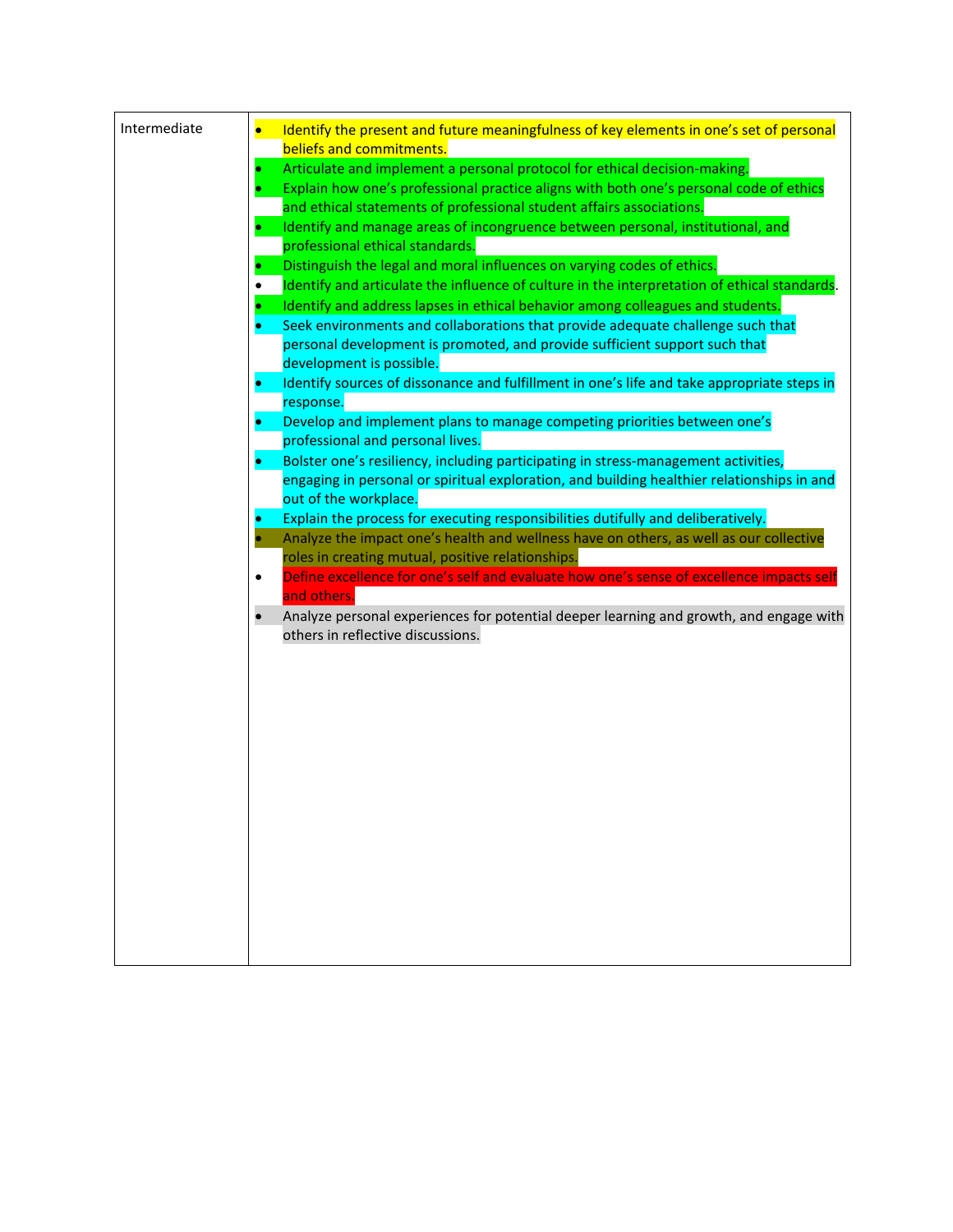| Intermediate | Identify the present and future meaningfulness of key elements in one's set of personal<br>$\bullet$         |
|--------------|--------------------------------------------------------------------------------------------------------------|
|              | beliefs and commitments.                                                                                     |
|              | Articulate and implement a personal protocol for ethical decision-making.                                    |
|              | Explain how one's professional practice aligns with both one's personal code of ethics                       |
|              | and ethical statements of professional student affairs associations.                                         |
|              | Identify and manage areas of incongruence between personal, institutional, and<br>۰                          |
|              | professional ethical standards.                                                                              |
|              | Distinguish the legal and moral influences on varying codes of ethics.                                       |
|              | Identify and articulate the influence of culture in the interpretation of ethical standards.                 |
|              | Identify and address lapses in ethical behavior among colleagues and students.                               |
|              | Seek environments and collaborations that provide adequate challenge such that                               |
|              | personal development is promoted, and provide sufficient support such that                                   |
|              | development is possible.                                                                                     |
|              | Identify sources of dissonance and fulfillment in one's life and take appropriate steps in                   |
|              | response.                                                                                                    |
|              | Develop and implement plans to manage competing priorities between one's<br>professional and personal lives. |
|              | Bolster one's resiliency, including participating in stress-management activities,                           |
|              | engaging in personal or spiritual exploration, and building healthier relationships in and                   |
|              | out of the workplace.                                                                                        |
|              | Explain the process for executing responsibilities dutifully and deliberatively.                             |
|              | Analyze the impact one's health and wellness have on others, as well as our collective                       |
|              | roles in creating mutual, positive relationships.                                                            |
|              | Define excellence for one's self and evaluate how one's sense of excellence impacts self<br>$\bullet$        |
|              | and others.                                                                                                  |
|              | Analyze personal experiences for potential deeper learning and growth, and engage with                       |
|              | others in reflective discussions.                                                                            |
|              |                                                                                                              |
|              |                                                                                                              |
|              |                                                                                                              |
|              |                                                                                                              |
|              |                                                                                                              |
|              |                                                                                                              |
|              |                                                                                                              |
|              |                                                                                                              |
|              |                                                                                                              |
|              |                                                                                                              |
|              |                                                                                                              |
|              |                                                                                                              |
|              |                                                                                                              |
|              |                                                                                                              |
|              |                                                                                                              |
|              |                                                                                                              |